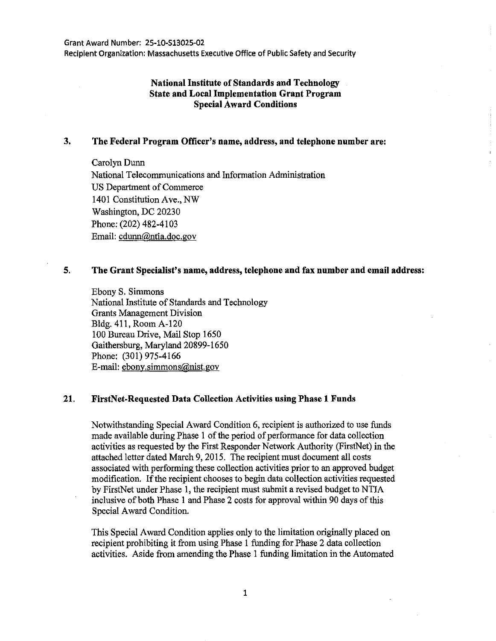Recipient Organization: Massachusetts Executive Office of Public Safety and Security

# **National Institute of Standards and Technology State and Local Implementation Grant Program Special Award Conditions**

### **3. The Federal Program Officer's name, address, and telephone number are:**

Carolyn Dunn National Telecommunications and Information Administration US Department of Commerce 1401 Constitution Ave., NW Washington, DC 20230 Phone: (202) 482-4103 Email: cdunn@ntia.doc.gov

#### **5. The Grant Specialist's name, address, telephone and fax number and email address:**

Ebony S. Simmons National Institute of Standards and Technology Grants Management Division Bldg. 411, Room A-120 100 Bureau Drive, Mail Stop 1650 Gaithersburg, Maryland 20899-1650 Phone: (301) 975-4166 E-mail: ebony.simmons@nist.gov

### **21. FirstNet-Requested Data Collection Activities using Phase 1 Funds**

Notwithstanding Special Award Condition 6, recipient is authorized to use funds made available during Phase 1 of the period of performance for data collection activities as requested by the First Responder Network Authority (FirstNet) in the attached letter dated March 9, 2015. The recipient must document all costs associated with performing these collection activities prior to an approved budget modification. If the recipient chooses to begin data collection activities requested by FirstNet under Phase 1, the recipient must submit a revised budget to NTIA inclusive of both Phase 1 and Phase 2 costs for approval within 90 days of this Special Award Condition.

This Special Award Condition applies only to the limitation originally placed on recipient prohibiting it from using Phase 1 funding for Phase 2 data collection activities. Aside from amending the Phase 1 funding limitation in the Automated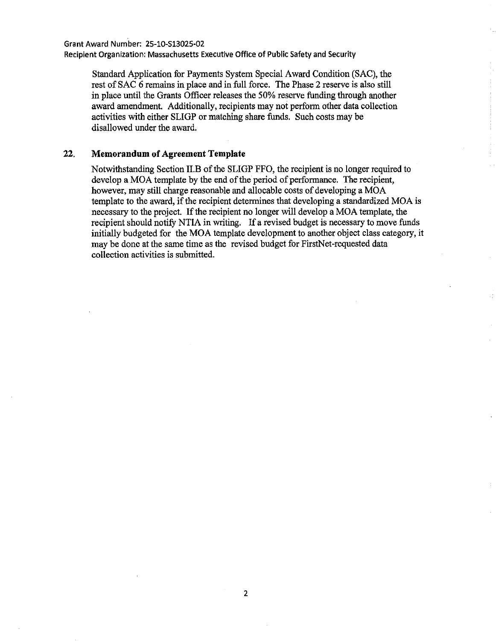Grant Award Number: 25-10-513025-02 Recipient Organization: Massachusetts Executive Office of Public Safety and Security

Standard Application for Payments System Special Award Condition (SAC), the rest of SAC 6 remains in place and in full force. The Phase 2 reserve is also still in place until the Grants Officer releases the 50% reserve funding through another award amendment. Additionally, recipients may not perform other data collection activities with either SLIGP or matching share funds. Such costs may be disallowed under the award.

## 22. **Memorandum of Agreement Template**

Notwithstanding Section II.B of the SLIGP FFO, the recipient is no longer required to develop a MOA template by the end of the period of performance. The recipient, however, may still charge reasonable and allocable costs of developing a MOA template to the award, if the recipient determines that developing a standardized MOA is necessary to the project. If the recipient no longer will develop a MOA template, the recipient should notify NTIA in writing. If a revised budget is necessary to move funds initially budgeted for the MOA template development to another object class category, it may be done at the same time as the revised budget for FirstNet-requested data collection activities is submitted.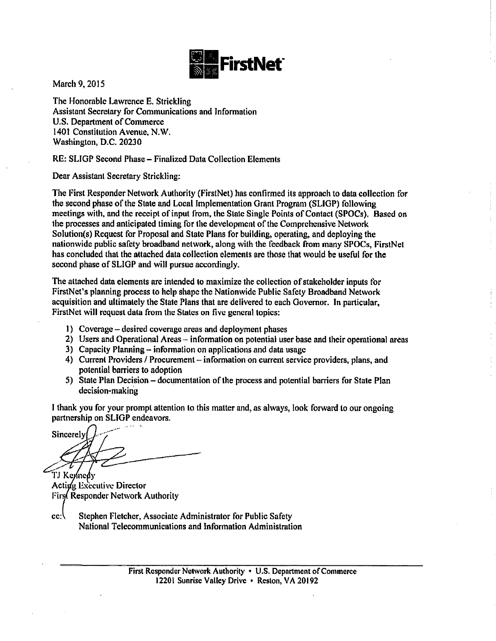

March 9, 2015

The Honorable Lawrence E. Strickling Assistant Secretary for Communications and Information U.S. Department of Commerce 1401 Constitution Avenue, N.W. Washington, D.C. 20230

RE: SLIGP Second Phase- Finalized Data Collection Elements

Dear Assistant Secretary Strickling:

The First Responder Network Authority (FirstNet) has confirmed its approach to data collection for the second phase of the State and Local Implementation Grant Program (SLIGP) following meetings with, and the receipt of input from, the State Single Points of Contact (SPOCs). Based on the processes and anticipated timing for the development of the Comprehensive Network Solution(s) Request for Proposal and State Plans for building, operating, and deploying the nationwide public safety broadband network, along with the feedback from many SPOCs, FirstNet has concluded that the attached data collection elements are those that would be useful for the second phase of SLIGP and will pursue accordingly.

The attached data elements are intended to maximize the collection of stakeholder inputs for FirstNet's planning process to help shape the Nationwide Public Safety Broadband Network acquisition and ultimately the State Plans that are delivered to each Governor. In particular, FirstNet will request data from the States on five general topics:

- I) Coverage- desired coverage areas and deployment phases
- 2) Users and Operational Areas  $\sim$  information on potential user base and their operational areas
- 3) Capacity Planning- information on applications and data usage
- 4) Current Providers / Procurement information on current service providers, plans, and potential barriers to adoption
- 5) State Plan Decision -documentation of the process and potential barriers for State Plan decision-making

I thank you for your prompt attention to this matter and, as always, look forward to our ongoing partnership on SLIGP endeavors.

Sincerely TJ Kennedy

Acting Executive Director First Responder Network Authority

cc: Stephen Fletcher, Associate Administrator for Public Safety National Telecommunications and Information Administration